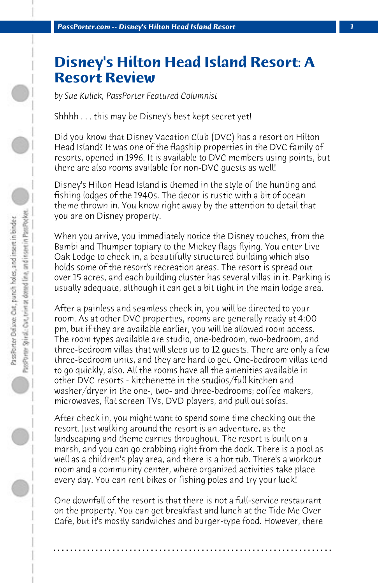## **Disney's Hilton Head Island Resort: A Resort Review**

*by Sue Kulick, PassPorter Featured Columnist*

Shhhh . . . this may be Disney's best kept secret yet!

Did you know that Disney Vacation Club (DVC) has a resort on Hilton Head Island? It was one of the flagship properties in the DVC family of resorts, opened in 1996. It is available to DVC members using points, but there are also rooms available for non-DVC guests as well!

Disney's Hilton Head Island is themed in the style of the hunting and fishing lodges of the 1940s. The decor is rustic with a bit of ocean theme thrown in. You know right away by the attention to detail that you are on Disney property.

When you arrive, you immediately notice the Disney touches, from the Bambi and Thumper topiary to the Mickey flags flying. You enter Live Oak Lodge to check in, a beautifully structured building which also holds some of the resort's recreation areas. The resort is spread out over 15 acres, and each building cluster has several villas in it. Parking is usually adequate, although it can get a bit tight in the main lodge area.

After a painless and seamless check in, you will be directed to your room. As at other DVC properties, rooms are generally ready at 4:00 pm, but if they are available earlier, you will be allowed room access. The room types available are studio, one-bedroom, two-bedroom, and three-bedroom villas that will sleep up to 12 guests. There are only a few three-bedroom units, and they are hard to get. One-bedroom villas tend to go quickly, also. All the rooms have all the amenities available in other DVC resorts - kitchenette in the studios/full kitchen and washer/dryer in the one-, two- and three-bedrooms; coffee makers, microwaves, flat screen TVs, DVD players, and pull out sofas.

After check in, you might want to spend some time checking out the resort. Just walking around the resort is an adventure, as the landscaping and theme carries throughout. The resort is built on a marsh, and you can go crabbing right from the dock. There is a pool as well as a children's play area, and there is a hot tub. There's a workout room and a community center, where organized activities take place every day. You can rent bikes or fishing poles and try your luck!

One downfall of the resort is that there is not a full-service restaurant on the property. You can get breakfast and lunch at the Tide Me Over Cafe, but it's mostly sandwiches and burger-type food. However, there

**. . . . . . . . . . . . . . . . . . . . . . . . . . . . . . . . . . . . . . . . . . . . . . . . . . . . . . . . . . . . . . . . . .**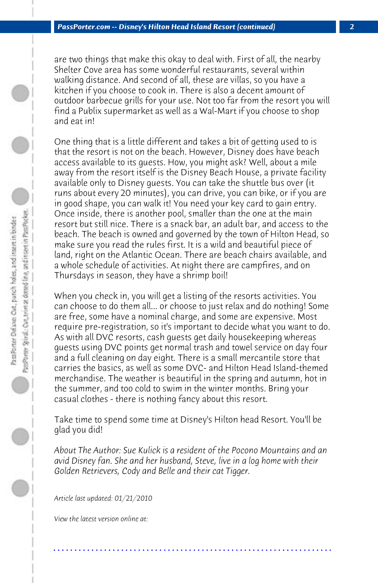are two things that make this okay to deal with. First of all, the nearby Shelter Cove area has some wonderful restaurants, several within walking distance. And second of all, these are villas, so you have a kitchen if you choose to cook in. There is also a decent amount of outdoor barbecue grills for your use. Not too far from the resort you will find a Publix supermarket as well as a Wal-Mart if you choose to shop and eat in!

One thing that is a little different and takes a bit of getting used to is that the resort is not on the beach. However, Disney does have beach access available to its guests. How, you might ask? Well, about a mile away from the resort itself is the Disney Beach House, a private facility available only to Disney guests. You can take the shuttle bus over (it runs about every 20 minutes), you can drive, you can bike, or if you are in good shape, you can walk it! You need your key card to gain entry. Once inside, there is another pool, smaller than the one at the main resort but still nice. There is a snack bar, an adult bar, and access to the beach. The beach is owned and governed by the town of Hilton Head, so make sure you read the rules first. It is a wild and beautiful piece of land, right on the Atlantic Ocean. There are beach chairs available, and a whole schedule of activities. At night there are campfires, and on Thursdays in season, they have a shrimp boil!

When you check in, you will get a listing of the resorts activities. You can choose to do them all... or choose to just relax and do nothing! Some are free, some have a nominal charge, and some are expensive. Most require pre-registration, so it's important to decide what you want to do. As with all DVC resorts, cash guests get daily housekeeping whereas guests using DVC points get normal trash and towel service on day four and a full cleaning on day eight. There is a small mercantile store that carries the basics, as well as some DVC- and Hilton Head Island-themed merchandise. The weather is beautiful in the spring and autumn, hot in the summer, and too cold to swim in the winter months. Bring your casual clothes - there is nothing fancy about this resort.

Take time to spend some time at Disney's Hilton head Resort. You'll be glad you did!

*About The Author: Sue Kulick is a resident of the Pocono Mountains and an avid Disney fan. She and her husband, Steve, live in a log home with their Golden Retrievers, Cody and Belle and their cat Tigger.*

**. . . . . . . . . . . . . . . . . . . . . . . . . . . . . . . . . . . . . . . . . . . . . . . . . . . . . . . . . . . . . . . . . .**

*Article last updated: 01/21/2010*

*View the latest version online at:*